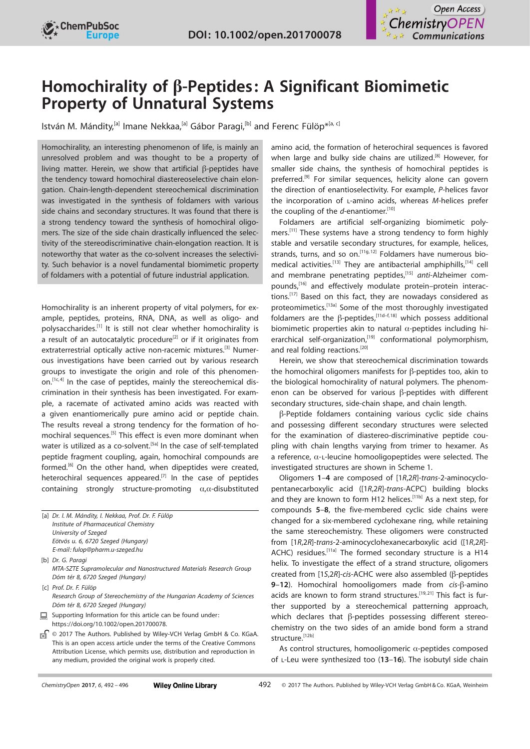



# Homochirality of  $\beta$ -Peptides: A Significant Biomimetic Property of Unnatural Systems

lstván M. Mándity,<sup>[a]</sup> Imane Nekkaa,<sup>[a]</sup> Gábor Paragi,<sup>[b]</sup> and Ferenc Fülöp<sup>\*,[a, c]</sup>

Homochirality, an interesting phenomenon of life, is mainly an unresolved problem and was thought to be a property of living matter. Herein, we show that artificial  $\beta$ -peptides have the tendency toward homochiral diastereoselective chain elongation. Chain-length-dependent stereochemical discrimination was investigated in the synthesis of foldamers with various side chains and secondary structures. It was found that there is a strong tendency toward the synthesis of homochiral oligomers. The size of the side chain drastically influenced the selectivity of the stereodiscriminative chain-elongation reaction. It is noteworthy that water as the co-solvent increases the selectivity. Such behavior is a novel fundamental biomimetic property of foldamers with a potential of future industrial application.

Homochirality is an inherent property of vital polymers, for example, peptides, proteins, RNA, DNA, as well as oligo- and polysaccharides.[1] It is still not clear whether homochirality is a result of an autocatalytic procedure<sup>[2]</sup> or if it originates from extraterrestrial optically active non-racemic mixtures.<sup>[3]</sup> Numerous investigations have been carried out by various research groups to investigate the origin and role of this phenomenon.[1c,4] In the case of peptides, mainly the stereochemical discrimination in their synthesis has been investigated. For example, a racemate of activated amino acids was reacted with a given enantiomerically pure amino acid or peptide chain. The results reveal a strong tendency for the formation of homochiral sequences.<sup>[5]</sup> This effect is even more dominant when water is utilized as a co-solvent.<sup>[5a]</sup> In the case of self-templated peptide fragment coupling, again, homochiral compounds are formed.<sup>[6]</sup> On the other hand, when dipeptides were created, heterochiral sequences appeared.<sup>[7]</sup> In the case of peptides containing strongly structure-promoting  $\alpha$ , $\alpha$ -disubstituted

[a] Dr. I. M. Mándity, I. Nekkaa, Prof. Dr. F. Fülöp Institute of Pharmaceutical Chemistry University of Szeged Eötvös u. 6, 6720 Szeged (Hungary) E-mail: fulop@pharm.u-szeged.hu

[b] Dr. G. Paragi MTA-SZTE Supramolecular and Nanostructured Materials Research Group Dóm tér 8, 6720 Szeged (Hungary)

[c] Prof. Dr. F. Fülön Research Group of Stereochemistry of the Hungarian Academy of Sciences Dóm tér 8, 6720 Szeged (Hungary)

Supporting Information for this article can be found under: 鳳 <https://doi.org/10.1002/open.201700078>.

ъŚ © 2017 The Authors. Published by Wiley-VCH Verlag GmbH & Co. KGaA. This is an open access article under the terms of the Creative [Commons](http://creativecommons.org/licenses/by/4.0/) [Attribution License,](http://creativecommons.org/licenses/by/4.0/) which permits use, distribution and reproduction in any medium, provided the original work is properly cited.

amino acid, the formation of heterochiral sequences is favored when large and bulky side chains are utilized.<sup>[8]</sup> However, for smaller side chains, the synthesis of homochiral peptides is preferred.<sup>[9]</sup> For similar sequences, helicity alone can govern the direction of enantioselectivity. For example, P-helices favor the incorporation of l-amino acids, whereas M-helices prefer the coupling of the  $d$ -enantiomer.<sup>[10]</sup>

Foldamers are artificial self-organizing biomimetic polymers.<sup>[11]</sup> These systems have a strong tendency to form highly stable and versatile secondary structures, for example, helices, strands, turns, and so on.<sup>[11g,12]</sup> Foldamers have numerous biomedical activities.<sup>[13]</sup> They are antibacterial amphiphills,<sup>[14]</sup> cell and membrane penetrating peptides,<sup>[15]</sup> anti-Alzheimer compounds,<sup>[16]</sup> and effectively modulate protein-protein interactions.<sup>[17]</sup> Based on this fact, they are nowadays considered as proteomimetics.[13a] Some of the most thoroughly investigated foldamers are the  $\beta$ -peptides,<sup>[11d-f,18]</sup> which possess additional biomimetic properties akin to natural  $\alpha$ -peptides including hierarchical self-organization,<sup>[19]</sup> conformational polymorphism, and real folding reactions.<sup>[20]</sup>

Herein, we show that stereochemical discrimination towards the homochiral oligomers manifests for  $\beta$ -peptides too, akin to the biological homochirality of natural polymers. The phenomenon can be observed for various  $\beta$ -peptides with different secondary structures, side-chain shape, and chain length.

b-Peptide foldamers containing various cyclic side chains and possessing different secondary structures were selected for the examination of diastereo-discriminative peptide coupling with chain lengths varying from trimer to hexamer. As a reference,  $\alpha$ -L-leucine homooligopeptides were selected. The investigated structures are shown in Scheme 1.

Oligomers 1–4 are composed of [1R,2R]-trans-2-aminocyclopentanecarboxylic acid ([1R,2R]-trans-ACPC) building blocks and they are known to form H12 helices.<sup>[11b]</sup> As a next step, for compounds 5–8, the five-membered cyclic side chains were changed for a six-membered cyclohexane ring, while retaining the same stereochemistry. These oligomers were constructed from [1R,2R]-trans-2-aminocyclohexanecarboxylic acid ([1R,2R]- ACHC) residues.<sup>[11a]</sup> The formed secondary structure is a H14 helix. To investigate the effect of a strand structure, oligomers created from [1S,2R]-cis-ACHC were also assembled (b-peptides 9-12). Homochiral homooligomers made from  $cis$ - $\beta$ -amino acids are known to form strand structures.<sup>[19,21]</sup> This fact is further supported by a stereochemical patterning approach, which declares that  $\beta$ -peptides possessing different stereochemistry on the two sides of an amide bond form a strand structure.<sup>[12b]</sup>

As control structures, homooligomeric  $\alpha$ -peptides composed of L-Leu were synthesized too (13-16). The isobutyl side chain

| ChemistryOpen 2017, 6, 492 - 496 |  |  |
|----------------------------------|--|--|
|                                  |  |  |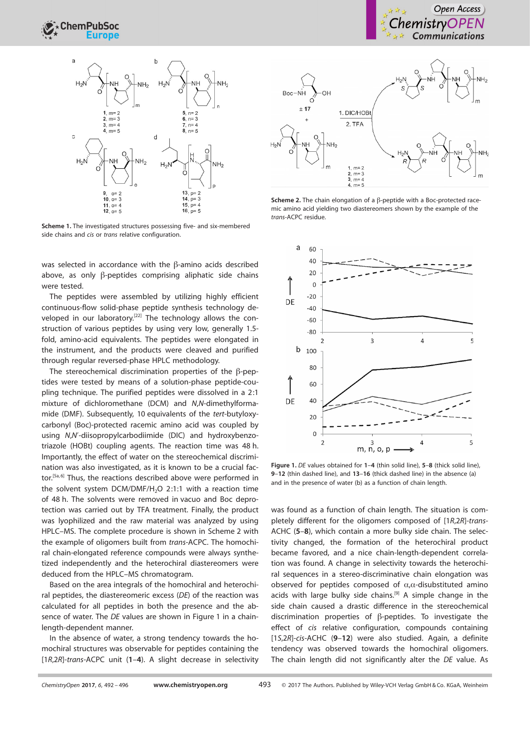

Scheme 1. The investigated structures possessing five- and six-membered side chains and cis or trans relative configuration.

was selected in accordance with the  $\beta$ -amino acids described above, as only  $\beta$ -peptides comprising aliphatic side chains were tested.

The peptides were assembled by utilizing highly efficient continuous-flow solid-phase peptide synthesis technology developed in our laboratory.<sup>[22]</sup> The technology allows the construction of various peptides by using very low, generally 1.5 fold, amino-acid equivalents. The peptides were elongated in the instrument, and the products were cleaved and purified through regular reversed-phase HPLC methodology.

The stereochemical discrimination properties of the  $\beta$ -peptides were tested by means of a solution-phase peptide-coupling technique. The purified peptides were dissolved in a 2:1 mixture of dichloromethane (DCM) and N,N-dimethylformamide (DMF). Subsequently, 10 equivalents of the tert-butyloxycarbonyl (Boc)-protected racemic amino acid was coupled by using N,N'-diisopropylcarbodiimide (DIC) and hydroxybenzotriazole (HOBt) coupling agents. The reaction time was 48 h. Importantly, the effect of water on the stereochemical discrimination was also investigated, as it is known to be a crucial factor.<sup>[5a,6]</sup> Thus, the reactions described above were performed in the solvent system DCM/DMF/H<sub>2</sub>O 2:1:1 with a reaction time of 48 h. The solvents were removed in vacuo and Boc deprotection was carried out by TFA treatment. Finally, the product was lyophilized and the raw material was analyzed by using HPLC–MS. The complete procedure is shown in Scheme 2 with the example of oligomers built from trans-ACPC. The homochiral chain-elongated reference compounds were always synthetized independently and the heterochiral diastereomers were deduced from the HPLC–MS chromatogram.

Based on the area integrals of the homochiral and heterochiral peptides, the diastereomeric excess (DE) of the reaction was calculated for all peptides in both the presence and the absence of water. The DE values are shown in Figure 1 in a chainlength-dependent manner.

In the absence of water, a strong tendency towards the homochiral structures was observable for peptides containing the [1R,2R]-trans-ACPC unit (1–4). A slight decrease in selectivity



Scheme 2. The chain elongation of a  $\beta$ -peptide with a Boc-protected racemic amino acid yielding two diastereomers shown by the example of the trans-ACPC residue.



Figure 1. DE values obtained for 1-4 (thin solid line), 5-8 (thick solid line), 9–12 (thin dashed line), and 13–16 (thick dashed line) in the absence (a) and in the presence of water (b) as a function of chain length.

was found as a function of chain length. The situation is completely different for the oligomers composed of [1R,2R]-trans-ACHC (5–8), which contain a more bulky side chain. The selectivity changed, the formation of the heterochiral product became favored, and a nice chain-length-dependent correlation was found. A change in selectivity towards the heterochiral sequences in a stereo-discriminative chain elongation was observed for peptides composed of  $\alpha$ , $\alpha$ -disubstituted amino acids with large bulky side chains.<sup>[9]</sup> A simple change in the side chain caused a drastic difference in the stereochemical discrimination properties of  $\beta$ -peptides. To investigate the effect of cis relative configuration, compounds containing [1S,2R]-cis-ACHC (9–12) were also studied. Again, a definite tendency was observed towards the homochiral oligomers. The chain length did not significantly alter the DE value. As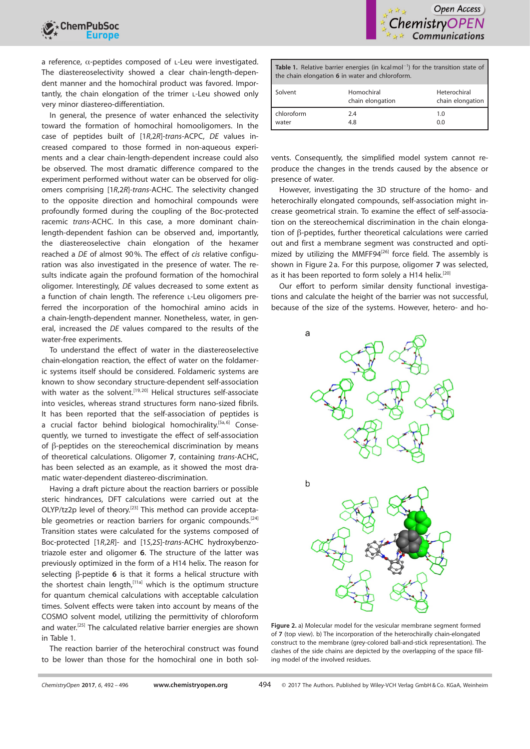a reference,  $\alpha$ -peptides composed of L-Leu were investigated. The diastereoselectivity showed a clear chain-length-dependent manner and the homochiral product was favored. Importantly, the chain elongation of the trimer l-Leu showed only very minor diastereo-differentiation.

In general, the presence of water enhanced the selectivity toward the formation of homochiral homooligomers. In the case of peptides built of [1R,2R]-trans-ACPC, DE values increased compared to those formed in non-aqueous experiments and a clear chain-length-dependent increase could also be observed. The most dramatic difference compared to the experiment performed without water can be observed for oligomers comprising [1R,2R]-trans-ACHC. The selectivity changed to the opposite direction and homochiral compounds were profoundly formed during the coupling of the Boc-protected racemic trans-ACHC. In this case, a more dominant chainlength-dependent fashion can be observed and, importantly, the diastereoselective chain elongation of the hexamer reached a DE of almost 90%. The effect of cis relative configuration was also investigated in the presence of water. The results indicate again the profound formation of the homochiral oligomer. Interestingly, DE values decreased to some extent as a function of chain length. The reference L-Leu oligomers preferred the incorporation of the homochiral amino acids in a chain-length-dependent manner. Nonetheless, water, in general, increased the DE values compared to the results of the water-free experiments.

To understand the effect of water in the diastereoselective chain-elongation reaction, the effect of water on the foldameric systems itself should be considered. Foldameric systems are known to show secondary structure-dependent self-association with water as the solvent.<sup>[19,20]</sup> Helical structures self-associate into vesicles, whereas strand structures form nano-sized fibrils. It has been reported that the self-association of peptides is a crucial factor behind biological homochirality.<sup>[5a,6]</sup> Consequently, we turned to investigate the effect of self-association of  $\beta$ -peptides on the stereochemical discrimination by means of theoretical calculations. Oligomer 7, containing trans-ACHC, has been selected as an example, as it showed the most dramatic water-dependent diastereo-discrimination.

Having a draft picture about the reaction barriers or possible steric hindrances, DFT calculations were carried out at the OLYP/tz2p level of theory.<sup>[23]</sup> This method can provide acceptable geometries or reaction barriers for organic compounds.<sup>[24]</sup> Transition states were calculated for the systems composed of Boc-protected [1R,2R]- and [1S,2S]-trans-ACHC hydroxybenzotriazole ester and oligomer 6. The structure of the latter was previously optimized in the form of a H14 helix. The reason for selecting  $\beta$ -peptide 6 is that it forms a helical structure with the shortest chain length,<sup>[11a]</sup> which is the optimum structure for quantum chemical calculations with acceptable calculation times. Solvent effects were taken into account by means of the COSMO solvent model, utilizing the permittivity of chloroform and water.<sup>[25]</sup> The calculated relative barrier energies are shown in Table 1.

The reaction barrier of the heterochiral construct was found to be lower than those for the homochiral one in both sol-



| <b>Table 1.</b> Relative barrier energies (in kcal mol <sup>-1</sup> ) for the transition state of<br>the chain elongation 6 in water and chloroform. |                                |                                  |  |
|-------------------------------------------------------------------------------------------------------------------------------------------------------|--------------------------------|----------------------------------|--|
| Solvent                                                                                                                                               | Homochiral<br>chain elongation | Heterochiral<br>chain elongation |  |
| chloroform<br>water                                                                                                                                   | 2.4<br>4.8                     | 1.0<br>0.0                       |  |

vents. Consequently, the simplified model system cannot reproduce the changes in the trends caused by the absence or presence of water.

However, investigating the 3D structure of the homo- and heterochirally elongated compounds, self-association might increase geometrical strain. To examine the effect of self-association on the stereochemical discrimination in the chain elongation of  $\beta$ -peptides, further theoretical calculations were carried out and first a membrane segment was constructed and optimized by utilizing the MMFF94<sup>[26]</sup> force field. The assembly is shown in Figure 2 a. For this purpose, oligomer 7 was selected, as it has been reported to form solely a H14 helix.<sup>[20]</sup>

Our effort to perform similar density functional investigations and calculate the height of the barrier was not successful, because of the size of the systems. However, hetero- and ho-



Figure 2. a) Molecular model for the vesicular membrane segment formed of 7 (top view). b) The incorporation of the heterochirally chain-elongated construct to the membrane (grey-colored ball-and-stick representation). The clashes of the side chains are depicted by the overlapping of the space filling model of the involved residues.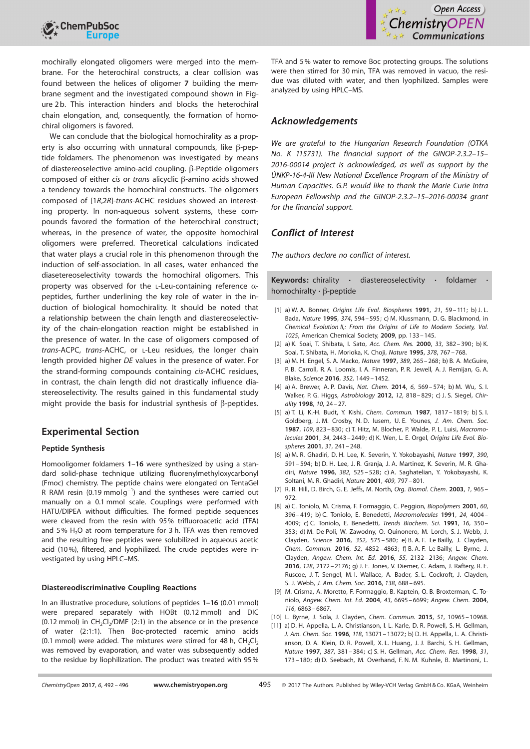

mochirally elongated oligomers were merged into the membrane. For the heterochiral constructs, a clear collision was found between the helices of oligomer 7 building the membrane segment and the investigated compound shown in Figure 2b. This interaction hinders and blocks the heterochiral chain elongation, and, consequently, the formation of homochiral oligomers is favored.

We can conclude that the biological homochirality as a property is also occurring with unnatural compounds, like  $\beta$ -peptide foldamers. The phenomenon was investigated by means of diastereoselective amino-acid coupling.  $\beta$ -Peptide oligomers composed of either cis or trans alicyclic  $\beta$ -amino acids showed a tendency towards the homochiral constructs. The oligomers composed of [1R,2R]-trans-ACHC residues showed an interesting property. In non-aqueous solvent systems, these compounds favored the formation of the heterochiral construct; whereas, in the presence of water, the opposite homochiral oligomers were preferred. Theoretical calculations indicated that water plays a crucial role in this phenomenon through the induction of self-association. In all cases, water enhanced the diasetereoselectivity towards the homochiral oligomers. This property was observed for the L-Leu-containing reference  $\alpha$ peptides, further underlining the key role of water in the induction of biological homochirality. It should be noted that a relationship between the chain length and diastereoselectivity of the chain-elongation reaction might be established in the presence of water. In the case of oligomers composed of trans-ACPC, trans-ACHC, or l-Leu residues, the longer chain length provided higher DE values in the presence of water. For the strand-forming compounds containing cis-ACHC residues, in contrast, the chain length did not drastically influence diastereoselectivity. The results gained in this fundamental study might provide the basis for industrial synthesis of  $\beta$ -peptides.

## Experimental Section

#### Peptide Synthesis

Homooligomer foldamers 1-16 were synthesized by using a standard solid-phase technique utilizing fluorenylmethyloxycarbonyl (Fmoc) chemistry. The peptide chains were elongated on TentaGel R RAM resin (0.19 mmolg<sup>-1</sup>) and the syntheses were carried out manually on a 0.1 mmol scale. Couplings were performed with HATU/DIPEA without difficulties. The formed peptide sequences were cleaved from the resin with 95% trifluoroacetic acid (TFA) and 5%  $H<sub>2</sub>O$  at room temperature for 3 h. TFA was then removed and the resulting free peptides were solubilized in aqueous acetic acid (10%), filtered, and lyophilized. The crude peptides were investigated by using HPLC–MS.

#### Diastereodiscriminative Coupling Reactions

In an illustrative procedure, solutions of peptides 1–16 (0.01 mmol) were prepared separately with HOBt (0.12 mmol) and DIC  $(0.12 \text{ mmol})$  in  $CH_2Cl_2/DMF$  (2:1) in the absence or in the presence of water (2:1:1). Then Boc-protected racemic amino acids (0.1 mmol) were added. The mixtures were stirred for 48 h,  $CH_2Cl_2$ was removed by evaporation, and water was subsequently added to the residue by liophilization. The product was treated with 95% TFA and 5% water to remove Boc protecting groups. The solutions were then stirred for 30 min, TFA was removed in vacuo, the residue was diluted with water, and then lyophilized. Samples were analyzed by using HPLC–MS.

### Acknowledgements

We are grateful to the Hungarian Research Foundation (OTKA No. K 115731). The financial support of the GINOP-2.3.2–15– 2016-00014 project is acknowledged, as well as support by the 5NKP-16-4-III New National Excellence Program of the Ministry of Human Capacities. G.P. would like to thank the Marie Curie Intra European Fellowship and the GINOP-2.3.2–15–2016-00034 grant for the financial support.

## Conflict of Interest

The authors declare no conflict of interest.

Keywords: chirality · diastereoselectivity · foldamer homochiralty  $\cdot$   $\beta$ -peptide

- [1] a) W. A. Bonner, *Origins Life [Evol. Biospheres](https://doi.org/10.1007/BF01809580)* 1991, 21, 59 111; b) J. L. Bada, [Nature](https://doi.org/10.1038/374594a0) 1995, 374, 594 – 595; c) M. Klussmann, D. G. Blackmond, in Chemical Evolution II,: From the Origins of Life to Modern Society, Vol. 1025, American Chemical Society, 2009, pp. 133– 145.
- [2] a) K. Soai, T. Shibata, I. Sato, Acc. [Chem.](https://doi.org/10.1021/ar9900820) Res. 2000, 33, 382-390; b) K. Soai, T. Shibata, H. Morioka, K. Choji, [Nature](https://doi.org/10.1038/378767a0) 1995, 378[, 767– 768](https://doi.org/10.1038/378767a0).
- [3] a) M. H. Engel, S. A. Macko, [Nature](https://doi.org/10.1038/38460) 1997, 389[, 265– 268](https://doi.org/10.1038/38460); b) B. A. McGuire, P. B. Carroll, R. A. Loomis, I. A. Finneran, P. R. Jewell, A. J. Remijan, G. A. Blake, [Science](https://doi.org/10.1126/science.aae0328) 2016, 352[, 1449– 1452](https://doi.org/10.1126/science.aae0328).
- [4] a) A. Brewer, A. P. Davis, Nat. Chem. 2014, 6, 569-574; b) M. Wu, S. I. Walker, P. G. Higgs, [Astrobiology](https://doi.org/10.1089/ast.2012.0819) 2012, 12, 818– 829; c) J. S. Siegel, [Chir](https://doi.org/10.1002/chir.5)ality [1998](https://doi.org/10.1002/chir.5), 10[, 24 –27](https://doi.org/10.1002/chir.5).
- [5] a) T. Li, K.-H. Budt, Y. Kishi, Chem. [Commun.](https://doi.org/10.1039/c39870001817) 1987, 1817 1819; b) S. I. Goldberg, J. M. Crosby, N. D. Iusem, U. E. Younes, J. Am. [Chem. Soc.](https://doi.org/10.1021/ja00237a032) [1987](https://doi.org/10.1021/ja00237a032), 109, 823 [– 830](https://doi.org/10.1021/ja00237a032); c) T. Hitz, M. Blocher, P. Walde, P. L. Luisi, [Macromo](https://doi.org/10.1021/ma001946w)[lecules](https://doi.org/10.1021/ma001946w) 2001, 34, 2443 – 2449; d) K. Wen, L. E. Orgel, [Origins Life](https://doi.org/10.1023/A:1010651618537) Evol. Bio[spheres](https://doi.org/10.1023/A:1010651618537) 2001, 31, 241 – 248.
- [6] a) M. R. Ghadiri, D. H. Lee, K. Severin, Y. Yokobayashi, [Nature](https://doi.org/10.1038/37569) 1997, 390, [591– 594](https://doi.org/10.1038/37569); b) D. H. Lee, J. R. Granja, J. A. Martinez, K. Severin, M. R. Ghadiri, [Nature](https://doi.org/10.1038/382525a0) 1996, 382, 525 – 528; c) A. Saghatelian, Y. Yokobayashi, K. Soltani, M. R. Ghadiri, [Nature](https://doi.org/10.1038/35057238) 2001, 409, 797 – 801.
- [7] R. R. Hill, D. Birch, G. E. Jeffs, M. North, [Org. Biomol.](https://doi.org/10.1039/b211914e) Chem. 2003, 1, 965 -[972.](https://doi.org/10.1039/b211914e)
- [8] a) C. Toniolo, M. Crisma, F. Formaggio, C. Peggion, [Biopolymers](https://doi.org/10.1002/1097-0282(2001)60:6%3C396::AID-BIP10184%3E3.0.CO;2-7) 2001, 60, [396– 419](https://doi.org/10.1002/1097-0282(2001)60:6%3C396::AID-BIP10184%3E3.0.CO;2-7); b) C. Toniolo, E. Benedetti, [Macromolecules](https://doi.org/10.1021/ma00014a006) 1991, 24, 4004 – [4009](https://doi.org/10.1021/ma00014a006); c) C. Toniolo, E. Benedetti, Trends Biochem. Sci. 1991, 16, 350 – 353; d) M. De Poli, W. Zawodny, O. Quinonero, M. Lorch, S. J. Webb, J. Clayden, [Science](https://doi.org/10.1126/science.aad8352) 2016, 352[, 575– 580](https://doi.org/10.1126/science.aad8352); e) B. A. F. Le Bailly, J. Clayden, Chem. [Commun.](https://doi.org/10.1039/C6CC00788K) 2016, 52, 4852 – 4863; f) B. A. F. Le Bailly, L. Byrne, J. Clayden, Angew. Chem. Int. Ed. 2016, 55, 2132 – 2136; Angew. Chem. 2016, 128, 2172– 2176; g) J. E. Jones, V. Diemer, C. Adam, J. Raftery, R. E. Ruscoe, J. T. Sengel, M. I. Wallace, A. Bader, S. L. Cockroft, J. Clayden, S. J. Webb, J. Am. [Chem.](https://doi.org/10.1021/jacs.5b12057) Soc. 2016, 138[, 688– 695](https://doi.org/10.1021/jacs.5b12057).
- [9] M. Crisma, A. Moretto, F. Formaggio, B. Kaptein, Q. B. Broxterman, C. Toniolo, [Angew. Chem.](https://doi.org/10.1002/anie.200460908) Int. Ed. 2004, 43, 6695 – 6699; [Angew. Chem.](https://doi.org/10.1002/ange.200460908) 2004, 116[, 6863](https://doi.org/10.1002/ange.200460908) [– 6867.](https://doi.org/10.1002/ange.200460908)
- [10] L. Byrne, J. Sola, J. Clayden, Chem. [Commun.](https://doi.org/10.1039/C5CC01790D) 2015, 51, 10965-10968.
- [11] a) D. H. Appella, L. A. Christianson, I. L. Karle, D. R. Powell, S. H. Gellman, J. Am. Chem. Soc. 1996, 118[, 13071](https://doi.org/10.1021/ja963290l) [– 13072](https://doi.org/10.1021/ja963290l); b) D. H. Appella, L. A. Christianson, D. A. Klein, D. R. Powell, X. L. Huang, J. J. Barchi, S. H. Gellman, [Nature](https://doi.org/10.1038/387381a0) 1997, 387[, 381– 384](https://doi.org/10.1038/387381a0); c) S. H. Gellman, Acc. [Chem.](https://doi.org/10.1021/ar960298r) Res. 1998, 31, [173](https://doi.org/10.1021/ar960298r) [– 180](https://doi.org/10.1021/ar960298r); d) D. Seebach, M. Overhand, F. N. M. Kuhnle, B. Martinoni, L.